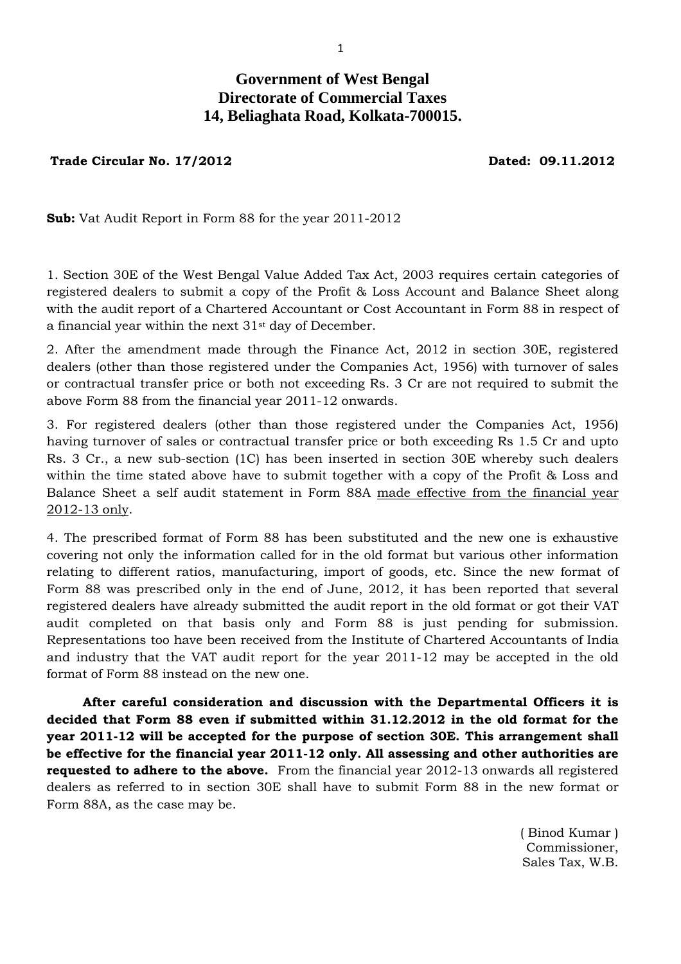## **Government of West Bengal Directorate of Commercial Taxes 14, Beliaghata Road, Kolkata-700015.**

**Trade Circular No. 17/2012 Dated: 09.11.2012**

**Sub:** Vat Audit Report in Form 88 for the year 2011-2012

1. Section 30E of the West Bengal Value Added Tax Act, 2003 requires certain categories of registered dealers to submit a copy of the Profit & Loss Account and Balance Sheet along with the audit report of a Chartered Accountant or Cost Accountant in Form 88 in respect of a financial year within the next 31st day of December.

2. After the amendment made through the Finance Act, 2012 in section 30E, registered dealers (other than those registered under the Companies Act, 1956) with turnover of sales or contractual transfer price or both not exceeding Rs. 3 Cr are not required to submit the above Form 88 from the financial year 2011-12 onwards.

3. For registered dealers (other than those registered under the Companies Act, 1956) having turnover of sales or contractual transfer price or both exceeding Rs 1.5 Cr and upto Rs. 3 Cr., a new sub-section (1C) has been inserted in section 30E whereby such dealers within the time stated above have to submit together with a copy of the Profit & Loss and Balance Sheet a self audit statement in Form 88A made effective from the financial year 2012-13 only.

4. The prescribed format of Form 88 has been substituted and the new one is exhaustive covering not only the information called for in the old format but various other information relating to different ratios, manufacturing, import of goods, etc. Since the new format of Form 88 was prescribed only in the end of June, 2012, it has been reported that several registered dealers have already submitted the audit report in the old format or got their VAT audit completed on that basis only and Form 88 is just pending for submission. Representations too have been received from the Institute of Chartered Accountants of India and industry that the VAT audit report for the year 2011-12 may be accepted in the old format of Form 88 instead on the new one.

 **After careful consideration and discussion with the Departmental Officers it is decided that Form 88 even if submitted within 31.12.2012 in the old format for the year 2011-12 will be accepted for the purpose of section 30E. This arrangement shall be effective for the financial year 2011-12 only. All assessing and other authorities are requested to adhere to the above.** From the financial year 2012-13 onwards all registered dealers as referred to in section 30E shall have to submit Form 88 in the new format or Form 88A, as the case may be.

> ( Binod Kumar ) Commissioner, Sales Tax, W.B.